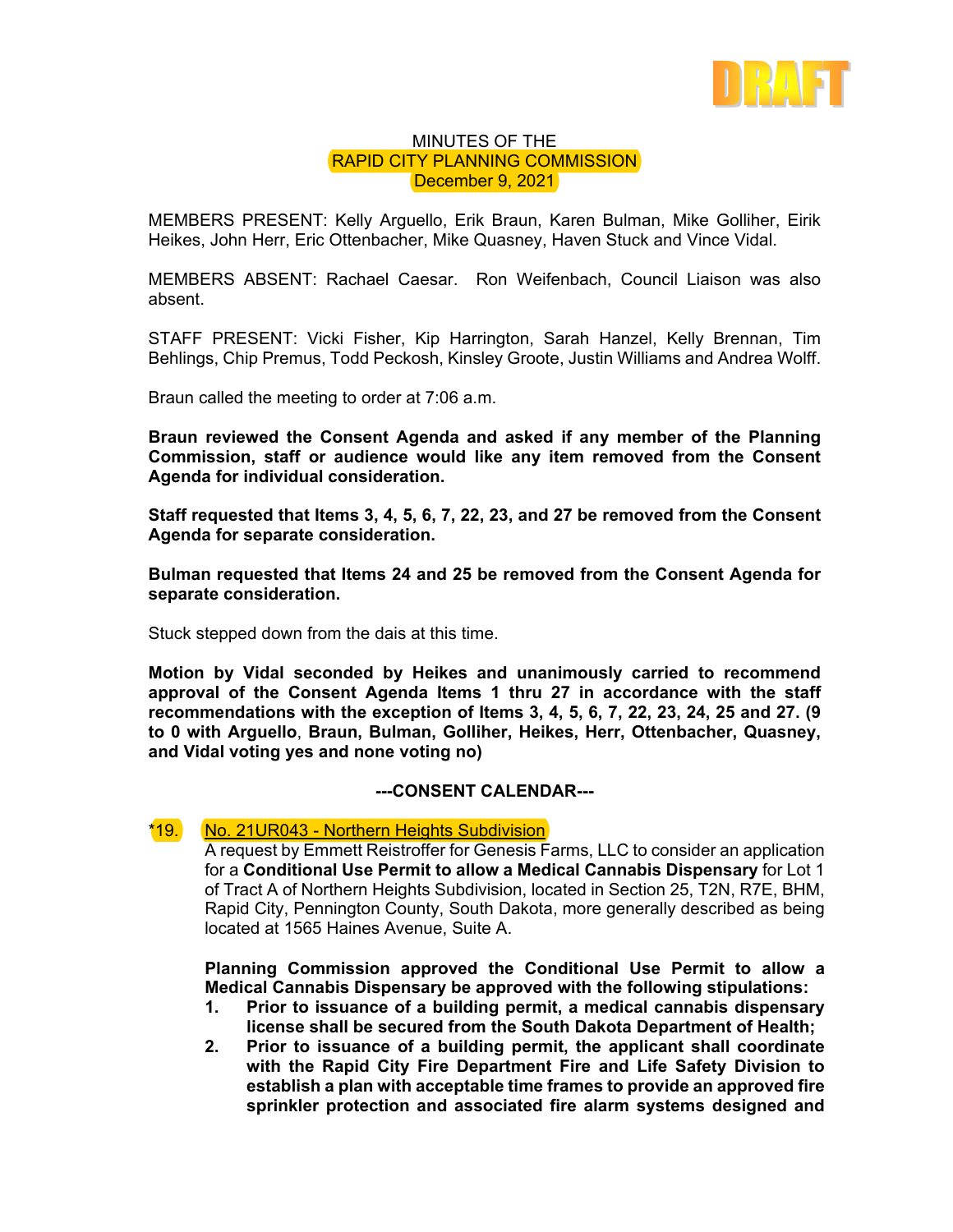

## MINUTES OF THE RAPID CITY PLANNING COMMISSION December 9, 2021

MEMBERS PRESENT: Kelly Arguello, Erik Braun, Karen Bulman, Mike Golliher, Eirik Heikes, John Herr, Eric Ottenbacher, Mike Quasney, Haven Stuck and Vince Vidal.

MEMBERS ABSENT: Rachael Caesar. Ron Weifenbach, Council Liaison was also absent.

STAFF PRESENT: Vicki Fisher, Kip Harrington, Sarah Hanzel, Kelly Brennan, Tim Behlings, Chip Premus, Todd Peckosh, Kinsley Groote, Justin Williams and Andrea Wolff.

Braun called the meeting to order at 7:06 a.m.

**Braun reviewed the Consent Agenda and asked if any member of the Planning Commission, staff or audience would like any item removed from the Consent Agenda for individual consideration.** 

**Staff requested that Items 3, 4, 5, 6, 7, 22, 23, and 27 be removed from the Consent Agenda for separate consideration.** 

**Bulman requested that Items 24 and 25 be removed from the Consent Agenda for separate consideration.** 

Stuck stepped down from the dais at this time.

**Motion by Vidal seconded by Heikes and unanimously carried to recommend approval of the Consent Agenda Items 1 thru 27 in accordance with the staff recommendations with the exception of Items 3, 4, 5, 6, 7, 22, 23, 24, 25 and 27. (9 to 0 with Arguello**, **Braun, Bulman, Golliher, Heikes, Herr, Ottenbacher, Quasney, and Vidal voting yes and none voting no)** 

## **---CONSENT CALENDAR---**

## \*19. No. 21UR043 - Northern Heights Subdivision

A request by Emmett Reistroffer for Genesis Farms, LLC to consider an application for a **Conditional Use Permit to allow a Medical Cannabis Dispensary** for Lot 1 of Tract A of Northern Heights Subdivision, located in Section 25, T2N, R7E, BHM, Rapid City, Pennington County, South Dakota, more generally described as being located at 1565 Haines Avenue, Suite A.

**Planning Commission approved the Conditional Use Permit to allow a Medical Cannabis Dispensary be approved with the following stipulations:** 

- **1. Prior to issuance of a building permit, a medical cannabis dispensary license shall be secured from the South Dakota Department of Health;**
- **2. Prior to issuance of a building permit, the applicant shall coordinate with the Rapid City Fire Department Fire and Life Safety Division to establish a plan with acceptable time frames to provide an approved fire sprinkler protection and associated fire alarm systems designed and**